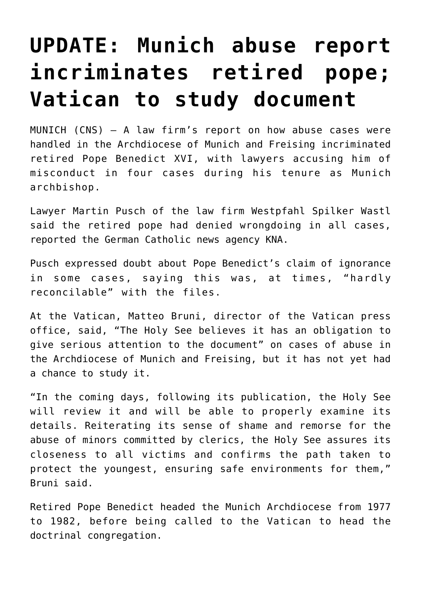## **[UPDATE: Munich abuse report](https://www.osvnews.com/2022/01/20/munich-abuse-report-incriminates-retired-pope-vatican-to-study-document/) [incriminates retired pope;](https://www.osvnews.com/2022/01/20/munich-abuse-report-incriminates-retired-pope-vatican-to-study-document/) [Vatican to study document](https://www.osvnews.com/2022/01/20/munich-abuse-report-incriminates-retired-pope-vatican-to-study-document/)**

MUNICH (CNS) — A law firm's report on how abuse cases were handled in the Archdiocese of Munich and Freising incriminated retired Pope Benedict XVI, with lawyers accusing him of misconduct in four cases during his tenure as Munich archbishop.

Lawyer Martin Pusch of the law firm Westpfahl Spilker Wastl said the retired pope had denied wrongdoing in all cases, reported the German Catholic news agency KNA.

Pusch expressed doubt about Pope Benedict's claim of ignorance in some cases, saying this was, at times, "hardly reconcilable" with the files.

At the Vatican, Matteo Bruni, director of the Vatican press office, said, "The Holy See believes it has an obligation to give serious attention to the document" on cases of abuse in the Archdiocese of Munich and Freising, but it has not yet had a chance to study it.

"In the coming days, following its publication, the Holy See will review it and will be able to properly examine its details. Reiterating its sense of shame and remorse for the abuse of minors committed by clerics, the Holy See assures its closeness to all victims and confirms the path taken to protect the youngest, ensuring safe environments for them," Bruni said.

Retired Pope Benedict headed the Munich Archdiocese from 1977 to 1982, before being called to the Vatican to head the doctrinal congregation.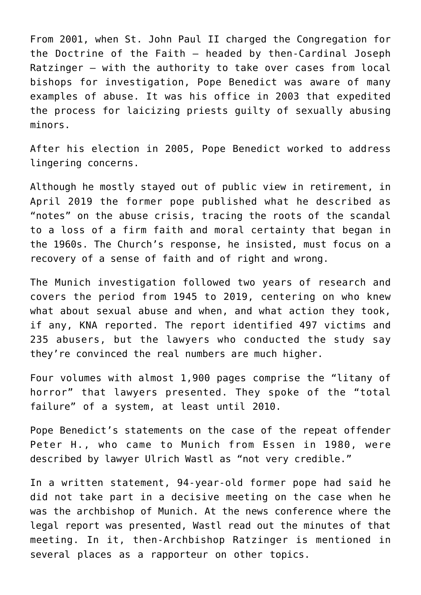From 2001, when St. John Paul II charged the Congregation for the Doctrine of the Faith — headed by then-Cardinal Joseph Ratzinger — with the authority to take over cases from local bishops for investigation, Pope Benedict was aware of many examples of abuse. It was his office in 2003 that expedited the process for laicizing priests guilty of sexually abusing minors.

After his election in 2005, Pope Benedict worked to address lingering concerns.

Although he mostly stayed out of public view in retirement, in April 2019 the former pope published what he described as "notes" on the abuse crisis, tracing the roots of the scandal to a loss of a firm faith and moral certainty that began in the 1960s. The Church's response, he insisted, must focus on a recovery of a sense of faith and of right and wrong.

The Munich investigation followed two years of research and covers the period from 1945 to 2019, centering on who knew what about sexual abuse and when, and what action they took, if any, KNA reported. The report identified 497 victims and 235 abusers, but the lawyers who conducted the study say they're convinced the real numbers are much higher.

Four volumes with almost 1,900 pages comprise the "litany of horror" that lawyers presented. They spoke of the "total failure" of a system, at least until 2010.

Pope Benedict's statements on the case of the repeat offender Peter H., who came to Munich from Essen in 1980, were described by lawyer Ulrich Wastl as "not very credible."

In a written statement, 94-year-old former pope had said he did not take part in a decisive meeting on the case when he was the archbishop of Munich. At the news conference where the legal report was presented, Wastl read out the minutes of that meeting. In it, then-Archbishop Ratzinger is mentioned in several places as a rapporteur on other topics.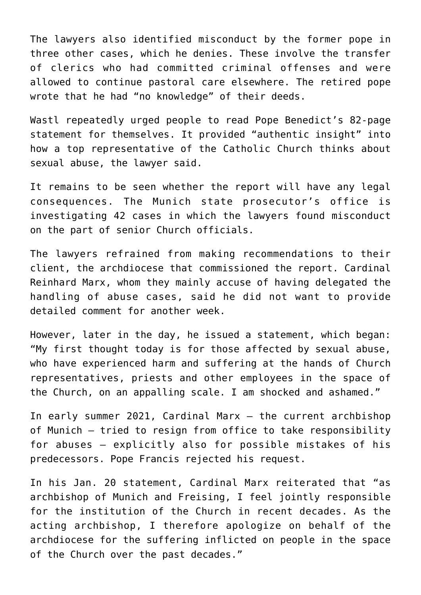The lawyers also identified misconduct by the former pope in three other cases, which he denies. These involve the transfer of clerics who had committed criminal offenses and were allowed to continue pastoral care elsewhere. The retired pope wrote that he had "no knowledge" of their deeds.

Wastl repeatedly urged people to read Pope Benedict's 82-page statement for themselves. It provided "authentic insight" into how a top representative of the Catholic Church thinks about sexual abuse, the lawyer said.

It remains to be seen whether the report will have any legal consequences. The Munich state prosecutor's office is investigating 42 cases in which the lawyers found misconduct on the part of senior Church officials.

The lawyers refrained from making recommendations to their client, the archdiocese that commissioned the report. Cardinal Reinhard Marx, whom they mainly accuse of having delegated the handling of abuse cases, said he did not want to provide detailed comment for another week.

However, later in the day, he issued a statement, which began: "My first thought today is for those affected by sexual abuse, who have experienced harm and suffering at the hands of Church representatives, priests and other employees in the space of the Church, on an appalling scale. I am shocked and ashamed."

In early summer 2021, Cardinal Marx — the current archbishop of Munich — tried to resign from office to take responsibility for abuses — explicitly also for possible mistakes of his predecessors. Pope Francis rejected his request.

In his Jan. 20 statement, Cardinal Marx reiterated that "as archbishop of Munich and Freising, I feel jointly responsible for the institution of the Church in recent decades. As the acting archbishop, I therefore apologize on behalf of the archdiocese for the suffering inflicted on people in the space of the Church over the past decades."